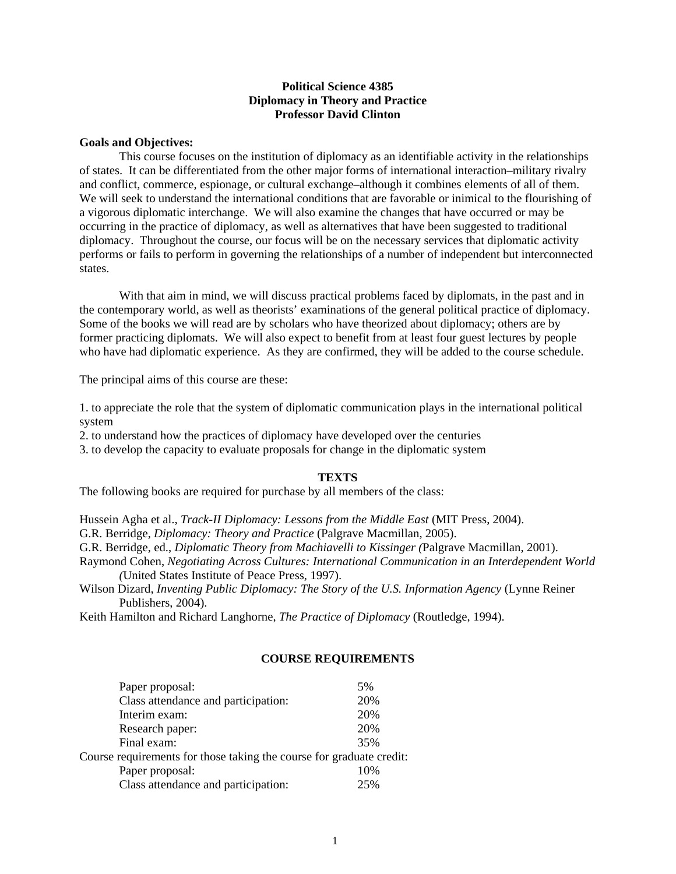# **Political Science 4385 Diplomacy in Theory and Practice Professor David Clinton**

#### **Goals and Objectives:**

 This course focuses on the institution of diplomacy as an identifiable activity in the relationships of states. It can be differentiated from the other major forms of international interaction–military rivalry and conflict, commerce, espionage, or cultural exchange–although it combines elements of all of them. We will seek to understand the international conditions that are favorable or inimical to the flourishing of a vigorous diplomatic interchange. We will also examine the changes that have occurred or may be occurring in the practice of diplomacy, as well as alternatives that have been suggested to traditional diplomacy. Throughout the course, our focus will be on the necessary services that diplomatic activity performs or fails to perform in governing the relationships of a number of independent but interconnected states.

 With that aim in mind, we will discuss practical problems faced by diplomats, in the past and in the contemporary world, as well as theorists' examinations of the general political practice of diplomacy. Some of the books we will read are by scholars who have theorized about diplomacy; others are by former practicing diplomats. We will also expect to benefit from at least four guest lectures by people who have had diplomatic experience. As they are confirmed, they will be added to the course schedule.

The principal aims of this course are these:

1. to appreciate the role that the system of diplomatic communication plays in the international political system

2. to understand how the practices of diplomacy have developed over the centuries

3. to develop the capacity to evaluate proposals for change in the diplomatic system

#### **TEXTS**

The following books are required for purchase by all members of the class:

Hussein Agha et al., *Track-II Diplomacy: Lessons from the Middle East* (MIT Press, 2004).

G.R. Berridge, *Diplomacy: Theory and Practice* (Palgrave Macmillan, 2005).

G.R. Berridge, ed., *Diplomatic Theory from Machiavelli to Kissinger (*Palgrave Macmillan, 2001).

- Raymond Cohen, *Negotiating Across Cultures: International Communication in an Interdependent World (*United States Institute of Peace Press, 1997).
- Wilson Dizard, *Inventing Public Diplomacy: The Story of the U.S. Information Agency* (Lynne Reiner Publishers, 2004).

Keith Hamilton and Richard Langhorne, *The Practice of Diplomacy* (Routledge, 1994).

### **COURSE REQUIREMENTS**

| Paper proposal:                                                      | 5%  |
|----------------------------------------------------------------------|-----|
| Class attendance and participation:                                  | 20% |
| Interim exam:                                                        | 20% |
| Research paper:                                                      | 20% |
| Final exam:                                                          | 35% |
| Course requirements for those taking the course for graduate credit: |     |
| Paper proposal:                                                      | 10% |
| Class attendance and participation:                                  | 25% |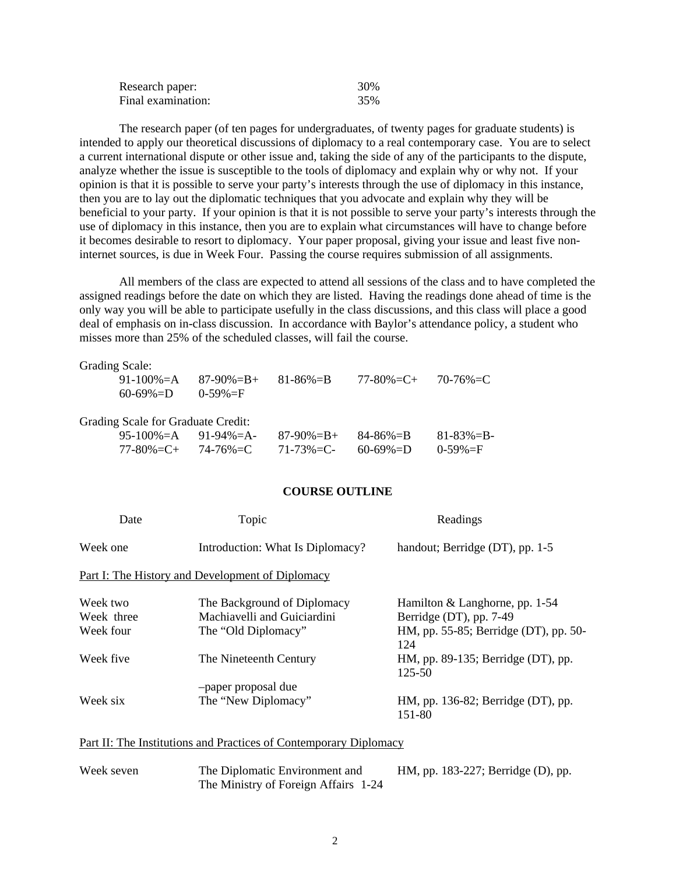| Research paper:    | 30% |
|--------------------|-----|
| Final examination: | 35% |

 The research paper (of ten pages for undergraduates, of twenty pages for graduate students) is intended to apply our theoretical discussions of diplomacy to a real contemporary case. You are to select a current international dispute or other issue and, taking the side of any of the participants to the dispute, analyze whether the issue is susceptible to the tools of diplomacy and explain why or why not. If your opinion is that it is possible to serve your party's interests through the use of diplomacy in this instance, then you are to lay out the diplomatic techniques that you advocate and explain why they will be beneficial to your party. If your opinion is that it is not possible to serve your party's interests through the use of diplomacy in this instance, then you are to explain what circumstances will have to change before it becomes desirable to resort to diplomacy. Your paper proposal, giving your issue and least five noninternet sources, is due in Week Four. Passing the course requires submission of all assignments.

 All members of the class are expected to attend all sessions of the class and to have completed the assigned readings before the date on which they are listed. Having the readings done ahead of time is the only way you will be able to participate usefully in the class discussions, and this class will place a good deal of emphasis on in-class discussion. In accordance with Baylor's attendance policy, a student who misses more than 25% of the scheduled classes, will fail the course.

| <b>Grading Scale:</b>                     |                 |                 |                 |                 |
|-------------------------------------------|-----------------|-----------------|-----------------|-----------------|
| $91-100\% = A$                            | $87-90\% = B +$ | $81 - 86\% = B$ | 77-80%=C+       | $70 - 76\% = C$ |
| $60 - 69\% = D$                           | $0 - 59\% = F$  |                 |                 |                 |
|                                           |                 |                 |                 |                 |
|                                           |                 |                 |                 |                 |
| <b>Grading Scale for Graduate Credit:</b> |                 |                 |                 |                 |
| 95-100%=A                                 | 91-94%=A-       | $87-90\% = B +$ | $84 - 86\% = B$ | $81 - 83\% = B$ |

# **COURSE OUTLINE**

| Date       | Topic                                                             | Readings                                     |
|------------|-------------------------------------------------------------------|----------------------------------------------|
| Week one   | Introduction: What Is Diplomacy?                                  | handout; Berridge (DT), pp. 1-5              |
|            | Part I: The History and Development of Diplomacy                  |                                              |
| Week two   | The Background of Diplomacy                                       | Hamilton & Langhorne, pp. 1-54               |
| Week three | Machiavelli and Guiciardini                                       | Berridge (DT), pp. 7-49                      |
| Week four  | The "Old Diplomacy"                                               | HM, pp. 55-85; Berridge (DT), pp. 50-<br>124 |
| Week five  | The Nineteenth Century                                            | HM, pp. 89-135; Berridge (DT), pp.<br>125-50 |
|            | -paper proposal due                                               |                                              |
| Week six   | The "New Diplomacy"                                               | HM, pp. 136-82; Berridge (DT), pp.<br>151-80 |
|            | Part II: The Institutions and Practices of Contemporary Diplomacy |                                              |

| Week seven | The Diplomatic Environment and       | HM, pp. 183-227; Berridge (D), pp. |
|------------|--------------------------------------|------------------------------------|
|            | The Ministry of Foreign Affairs 1-24 |                                    |